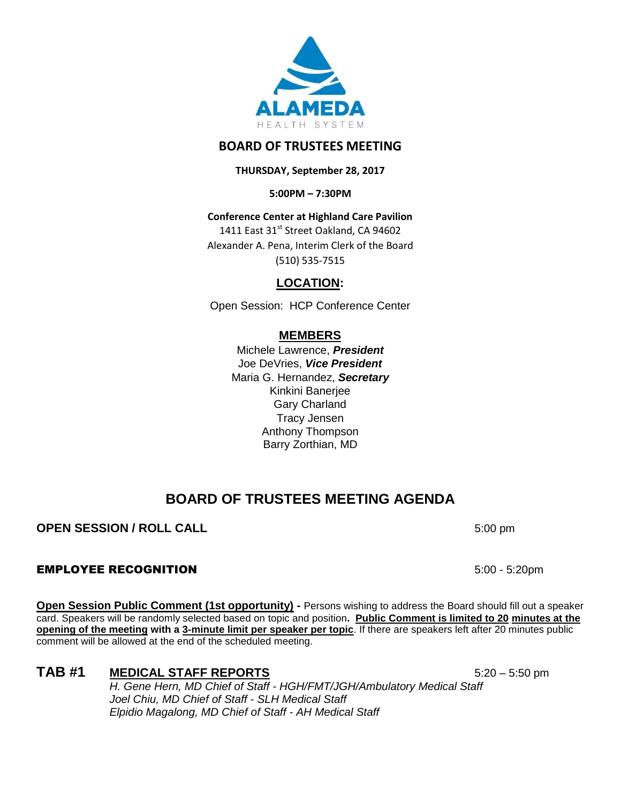

## **BOARD OF TRUSTEES MEETING**

**THURSDAY, September 28, 2017**

**5:00PM – 7:30PM**

**Conference Center at Highland Care Pavilion** 1411 East 31<sup>st</sup> Street Oakland, CA 94602 Alexander A. Pena, Interim Clerk of the Board (510) 535-7515

**LOCATION:**

Open Session: HCP Conference Center

## **MEMBERS**

Michele Lawrence, *President*  Joe DeVries, *Vice President*  Maria G. Hernandez, *Secretary* Kinkini Banerjee Gary Charland Tracy Jensen Anthony Thompson Barry Zorthian, MD

# **BOARD OF TRUSTEES MEETING AGENDA**

### **OPEN SESSION / ROLL CALL** 5:00 pm

### EMPLOYEE RECOGNITION 5:00 - 5:20pm

**Open Session Public Comment (1st opportunity) -** Persons wishing to address the Board should fill out a speaker card. Speakers will be randomly selected based on topic and position**. Public Comment is limited to 20 minutes at the opening of the meeting with a 3-minute limit per speaker per topic**. If there are speakers left after 20 minutes public comment will be allowed at the end of the scheduled meeting.

# TAB #1 **MEDICAL STAFF REPORTS** 5:20 – 5:50 pm

*H. Gene Hern, MD Chief of Staff - HGH/FMT/JGH/Ambulatory Medical Staff Joel Chiu, MD Chief of Staff - SLH Medical Staff Elpidio Magalong, MD Chief of Staff - AH Medical Staff*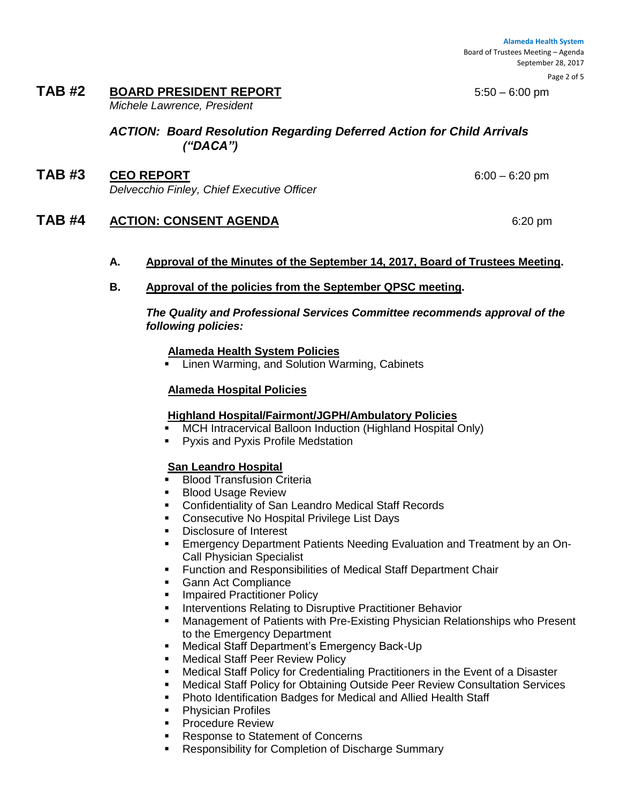**Alameda Health System**  Board of Trustees Meeting – Agenda September 28, 2017

# **TAB #2 BOARD PRESIDENT REPORT** 5:50 – 6:00 pm

*Michele Lawrence, President*

### *ACTION: Board Resolution Regarding Deferred Action for Child Arrivals ("DACA")*

**TAB #3 CEO REPORT** 6:00 – 6:20 pm *Delvecchio Finley, Chief Executive Officer*

### **TAB #4 ACTION: CONSENT AGENDA** 6:20 pm

### **A. Approval of the Minutes of the September 14, 2017, Board of Trustees Meeting.**

**B. Approval of the policies from the September QPSC meeting.**

*The Quality and Professional Services Committee recommends approval of the following policies:*

### **Alameda Health System Policies**

**EXECT** Linen Warming, and Solution Warming, Cabinets

### **Alameda Hospital Policies**

### **Highland Hospital/Fairmont/JGPH/Ambulatory Policies**

- **NCH Intracervical Balloon Induction (Highland Hospital Only)**
- Pyxis and Pyxis Profile Medstation

### **San Leandro Hospital**

- **Blood Transfusion Criteria**
- Blood Usage Review
- Confidentiality of San Leandro Medical Staff Records
- **Consecutive No Hospital Privilege List Days**
- Disclosure of Interest
- Emergency Department Patients Needing Evaluation and Treatment by an On-Call Physician Specialist
- **Function and Responsibilities of Medical Staff Department Chair**
- **Gann Act Compliance**
- **Impaired Practitioner Policy**
- Interventions Relating to Disruptive Practitioner Behavior
- Management of Patients with Pre-Existing Physician Relationships who Present to the Emergency Department
- **Medical Staff Department's Emergency Back-Up**
- **Medical Staff Peer Review Policy**
- Medical Staff Policy for Credentialing Practitioners in the Event of a Disaster
- **■** Medical Staff Policy for Obtaining Outside Peer Review Consultation Services
- **Photo Identification Badges for Medical and Allied Health Staff**
- **Physician Profiles**
- **Procedure Review**
- **Response to Statement of Concerns**
- **Responsibility for Completion of Discharge Summary**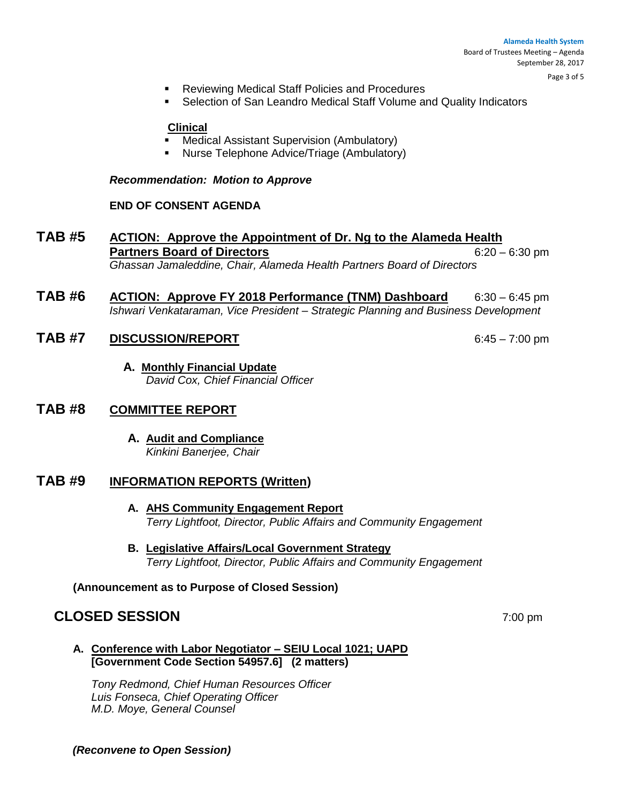Page 3 of 5

- Reviewing Medical Staff Policies and Procedures
- Selection of San Leandro Medical Staff Volume and Quality Indicators

#### **Clinical**

- Medical Assistant Supervision (Ambulatory)
- Nurse Telephone Advice/Triage (Ambulatory)

#### *Recommendation: Motion to Approve*

#### **END OF CONSENT AGENDA**

- **TAB #5 ACTION: Approve the Appointment of Dr. Ng to the Alameda Health Partners Board of Directors** 6:20 – 6:30 pm *Ghassan Jamaleddine, Chair, Alameda Health Partners Board of Directors*
- **TAB #6 ACTION: Approve FY 2018 Performance (TNM) Dashboard** 6:30 6:45 pm *Ishwari Venkataraman, Vice President – Strategic Planning and Business Development*

### **TAB #7 DISCUSSION/REPORT** 6:45 – 7:00 pm

**A. Monthly Financial Update** *David Cox, Chief Financial Officer*

### **TAB #8 COMMITTEE REPORT**

**A. Audit and Compliance**  *Kinkini Banerjee, Chair*

### **TAB #9 INFORMATION REPORTS (Written)**

- **A. AHS Community Engagement Report** *Terry Lightfoot, Director, Public Affairs and Community Engagement*
- **B. Legislative Affairs/Local Government Strategy**  *Terry Lightfoot, Director, Public Affairs and Community Engagement*

**(Announcement as to Purpose of Closed Session)**

### **CLOSED SESSION** 7:00 pm

**A. Conference with Labor Negotiator – SEIU Local 1021; UAPD [Government Code Section 54957.6] (2 matters)**

*Tony Redmond, Chief Human Resources Officer Luis Fonseca, Chief Operating Officer M.D. Moye, General Counsel*

#### *(Reconvene to Open Session)*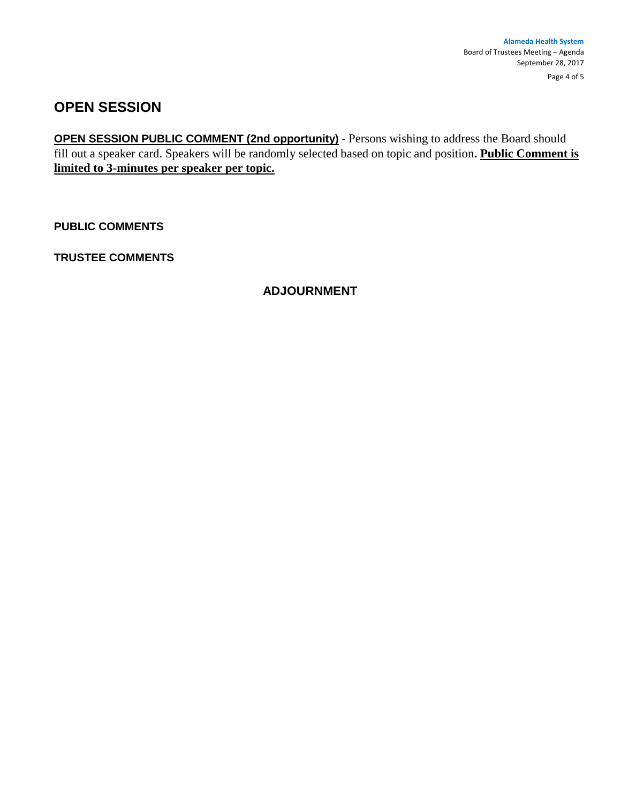# **OPEN SESSION**

**OPEN SESSION PUBLIC COMMENT (2nd opportunity)** - Persons wishing to address the Board should fill out a speaker card. Speakers will be randomly selected based on topic and position**. Public Comment is limited to 3-minutes per speaker per topic.**

**PUBLIC COMMENTS**

**TRUSTEE COMMENTS** 

### **ADJOURNMENT**